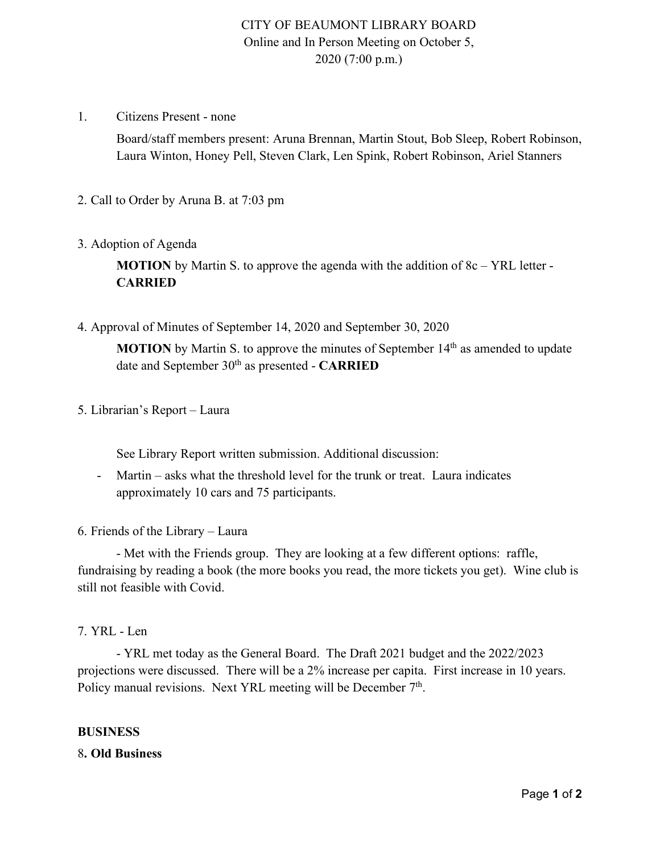# CITY OF BEAUMONT LIBRARY BOARD Online and In Person Meeting on October 5, 2020 (7:00 p.m.)

1. Citizens Present - none

Board/staff members present: Aruna Brennan, Martin Stout, Bob Sleep, Robert Robinson, Laura Winton, Honey Pell, Steven Clark, Len Spink, Robert Robinson, Ariel Stanners

2. Call to Order by Aruna B. at 7:03 pm

#### 3. Adoption of Agenda

**MOTION** by Martin S. to approve the agenda with the addition of 8c – YRL letter -**CARRIED**

4. Approval of Minutes of September 14, 2020 and September 30, 2020

**MOTION** by Martin S. to approve the minutes of September 14<sup>th</sup> as amended to update date and September 30th as presented - **CARRIED**

5. Librarian's Report – Laura

See Library Report written submission. Additional discussion:

- Martin asks what the threshold level for the trunk or treat. Laura indicates approximately 10 cars and 75 participants.
- 6. Friends of the Library Laura

- Met with the Friends group. They are looking at a few different options: raffle, fundraising by reading a book (the more books you read, the more tickets you get). Wine club is still not feasible with Covid.

### 7. YRL - Len

- YRL met today as the General Board. The Draft 2021 budget and the 2022/2023 projections were discussed. There will be a 2% increase per capita. First increase in 10 years. Policy manual revisions. Next YRL meeting will be December  $7<sup>th</sup>$ .

#### **BUSINESS**

### 8**. Old Business**